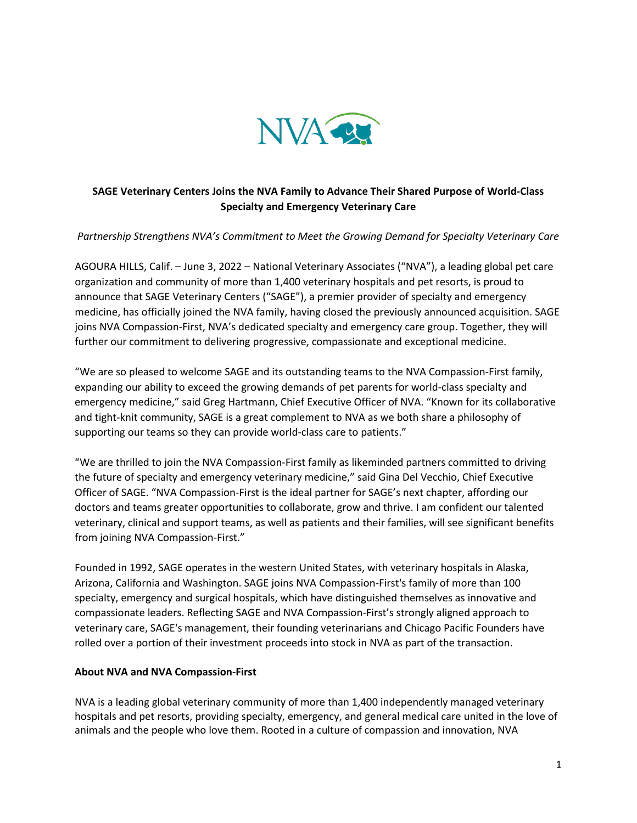

## **SAGE Veterinary Centers Joins the NVA Family to Advance Their Shared Purpose of World-Class Specialty and Emergency Veterinary Care**

## *Partnership Strengthens NVA's Commitment to Meet the Growing Demand for Specialty Veterinary Care*

AGOURA HILLS, Calif. – June 3, 2022 – National Veterinary Associates ("NVA"), a leading global pet care organization and community of more than 1,400 veterinary hospitals and pet resorts, is proud to announce that SAGE Veterinary Centers ("SAGE"), a premier provider of specialty and emergency medicine, has officially joined the NVA family, having closed the previously announced acquisition. SAGE joins NVA Compassion-First, NVA's dedicated specialty and emergency care group. Together, they will further our commitment to delivering progressive, compassionate and exceptional medicine.

"We are so pleased to welcome SAGE and its outstanding teams to the NVA Compassion-First family, expanding our ability to exceed the growing demands of pet parents for world-class specialty and emergency medicine," said Greg Hartmann, Chief Executive Officer of NVA. "Known for its collaborative and tight-knit community, SAGE is a great complement to NVA as we both share a philosophy of supporting our teams so they can provide world-class care to patients."

"We are thrilled to join the NVA Compassion-First family as likeminded partners committed to driving the future of specialty and emergency veterinary medicine," said Gina Del Vecchio, Chief Executive Officer of SAGE. "NVA Compassion-First is the ideal partner for SAGE's next chapter, affording our doctors and teams greater opportunities to collaborate, grow and thrive. I am confident our talented veterinary, clinical and support teams, as well as patients and their families, will see significant benefits from joining NVA Compassion-First."

Founded in 1992, SAGE operates in the western United States, with veterinary hospitals in Alaska, Arizona, California and Washington. SAGE joins NVA Compassion-First's family of more than 100 specialty, emergency and surgical hospitals, which have distinguished themselves as innovative and compassionate leaders. Reflecting SAGE and NVA Compassion-First's strongly aligned approach to veterinary care, SAGE's management, their founding veterinarians and Chicago Pacific Founders have rolled over a portion of their investment proceeds into stock in NVA as part of the transaction.

## **About NVA and NVA Compassion-First**

NVA is a leading global veterinary community of more than 1,400 independently managed veterinary hospitals and pet resorts, providing specialty, emergency, and general medical care united in the love of animals and the people who love them. Rooted in a culture of compassion and innovation, NVA